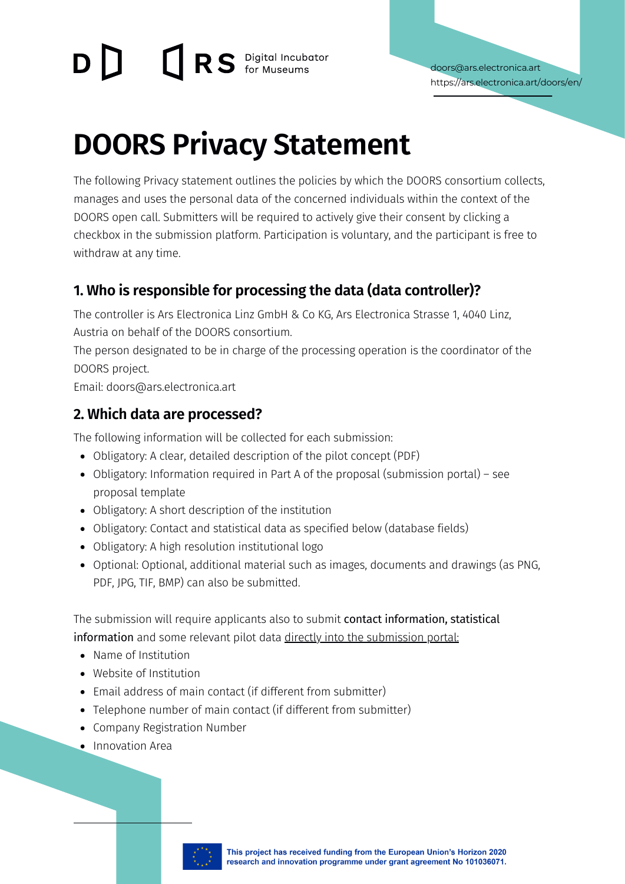# **DES** Digital Incubator

# **DOORS Privacy Statement**

The following Privacy statement outlines the policies by which the DOORS consortium collects, manages and uses the personal data of the concerned individuals within the context of the DOORS open call. Submitters will be required to actively give their consent by clicking a checkbox in the submission platform. Participation is voluntary, and the participant is free to withdraw at any time.

#### **1. Who is responsible for processing the data (data controller)?**

The controller is Ars Electronica Linz GmbH & Co KG, Ars Electronica Strasse 1, 4040 Linz, Austria on behalf of the DOORS consortium.

The person designated to be in charge of the processing operation is the coordinator of the DOORS project.

Email: [doors@ars.electronica.art](mailto:doors@ars.electronica.art)

#### **2. Which data are processed?**

The following information will be collected for each submission:

- Obligatory: A clear, detailed description of the pilot concept (PDF)
- Obligatory: Information required in Part A of the proposal (submission portal) see proposal template
- Obligatory: A short description of the institution
- Obligatory: Contact and statistical data as specified below (database fields)
- Obligatory: A high resolution institutional logo
- Optional: Optional, additional material such as images, documents and drawings (as PNG, PDF, JPG, TIF, BMP) can also be submitted.

The submission will require applicants also to submit contact information, statistical information and some relevant pilot data directly into the submission portal:

- Name of Institution
- Website of Institution
- Email address of main contact (if different from submitter)
- Telephone number of main contact (if different from submitter)
- Company Registration Number
- **•** Innovation Area

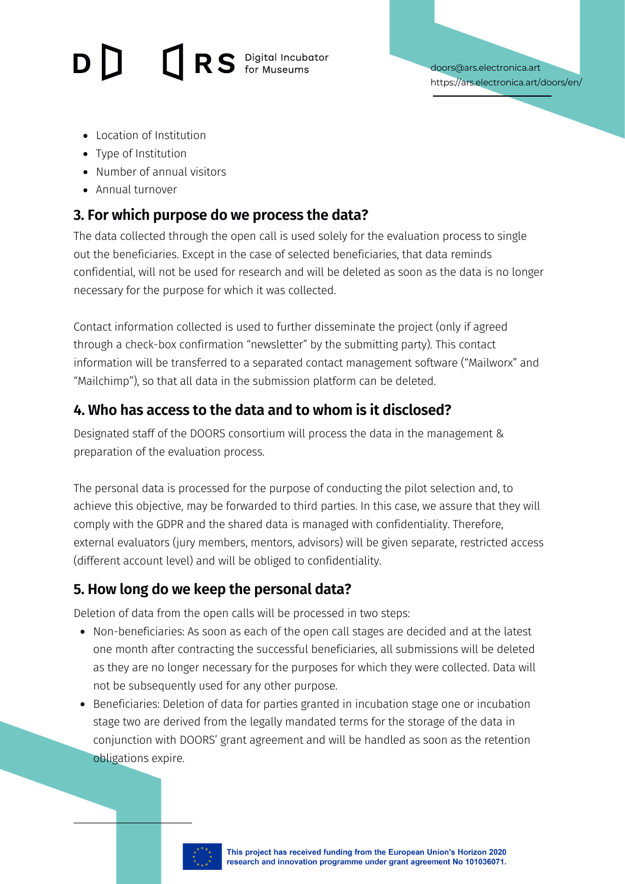# $\Box$ RS Digital Incubator

doors@ars.electronica.art <https://ars.electronica.art/doors/en/>

- Location of Institution
- Type of Institution
- Number of annual visitors
- Annual turnover

#### **3. For which purpose do we process the data?**

The data collected through the open call is used solely for the evaluation process to single out the beneficiaries. Except in the case of selected beneficiaries, that data reminds confidential, will not be used for research and will be deleted as soon as the data is no longer necessary for the purpose for which it was collected.

Contact information collected is used to further disseminate the project (only if agreed through a check-box confirmation "newsletter" by the submitting party). This contact information will be transferred to a separated contact management software ("Mailworx" and "Mailchimp"), so that all data in the submission platform can be deleted.

#### **4. Who has access to the data and to whom is it disclosed?**

Designated staff of the DOORS consortium will process the data in the management & preparation of the evaluation process.

The personal data is processed for the purpose of conducting the pilot selection and, to achieve this objective, may be forwarded to third parties. In this case, we assure that they will comply with the GDPR and the shared data is managed with confidentiality. Therefore, external evaluators (jury members, mentors, advisors) will be given separate, restricted access (different account level) and will be obliged to confidentiality.

#### **5. How long do we keep the personal data?**

Deletion of data from the open calls will be processed in two steps:

- Non-beneficiaries: As soon as each of the open call stages are decided and at the latest one month after contracting the successful beneficiaries, all submissions will be deleted as they are no longer necessary for the purposes for which they were collected. Data will not be subsequently used for any other purpose.
- Beneficiaries: Deletion of data for parties granted in incubation stage one or incubation stage two are derived from the legally mandated terms for the storage of the data in conjunction with DOORS' grant agreement and will be handled as soon as the retention obligations expire.

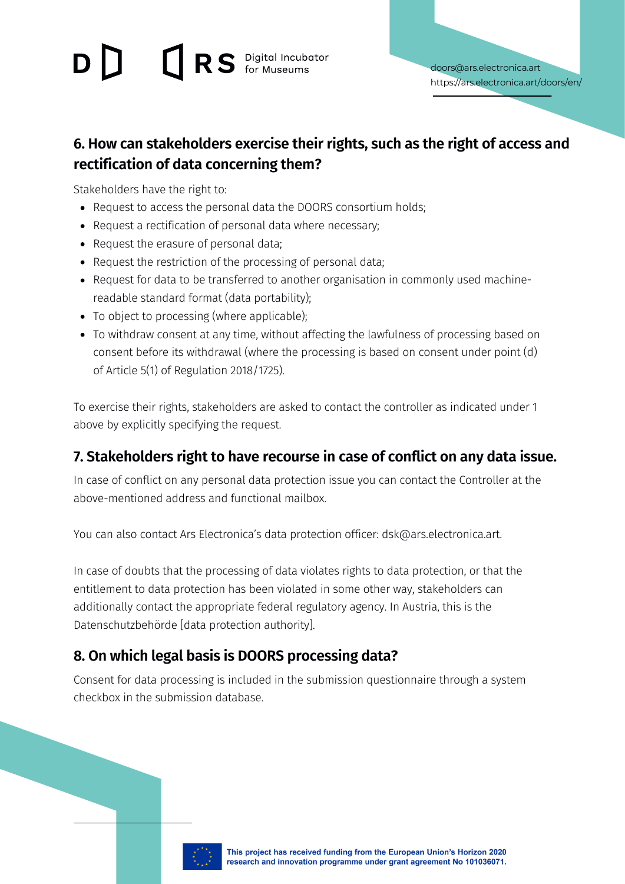### $D$  0 RS Digital Incubator

#### **6. How can stakeholders exercise their rights, such as the right of access and rectification of data concerning them?**

Stakeholders have the right to:

- Request to access the personal data the DOORS consortium holds;
- Request a rectification of personal data where necessary;
- Request the erasure of personal data;
- Request the restriction of the processing of personal data;
- Request for data to be transferred to another organisation in commonly used machinereadable standard format (data portability);
- To object to processing (where applicable);
- To withdraw consent at any time, without affecting the lawfulness of processing based on consent before its withdrawal (where the processing is based on consent under point (d) of Article 5(1) of Regulation 2018/1725).

To exercise their rights, stakeholders are asked to contact the controller as indicated under 1 above by explicitly specifying the request.

#### **7. Stakeholders right to have recourse in case of conflict on any data issue.**

In case of conflict on any personal data protection issue you can contact the Controller at the above-mentioned address and functional mailbox.

You can also contact Ars Electronica's data protection officer: [dsk@ars.electronica.art](mailto:dsk@ars.electronica.art).

In case of doubts that the processing of data violates rights to data protection, or that the entitlement to data protection has been violated in some other way, stakeholders can additionally contact the appropriate federal regulatory agency. In Austria, this is the [Datenschutzbehörde](https://www.dsb.gv.at/) [data protection authority].

#### **8. On which legal basis is DOORS processing data?**

Consent for data processing is included in the submission questionnaire through a system checkbox in the submission database.